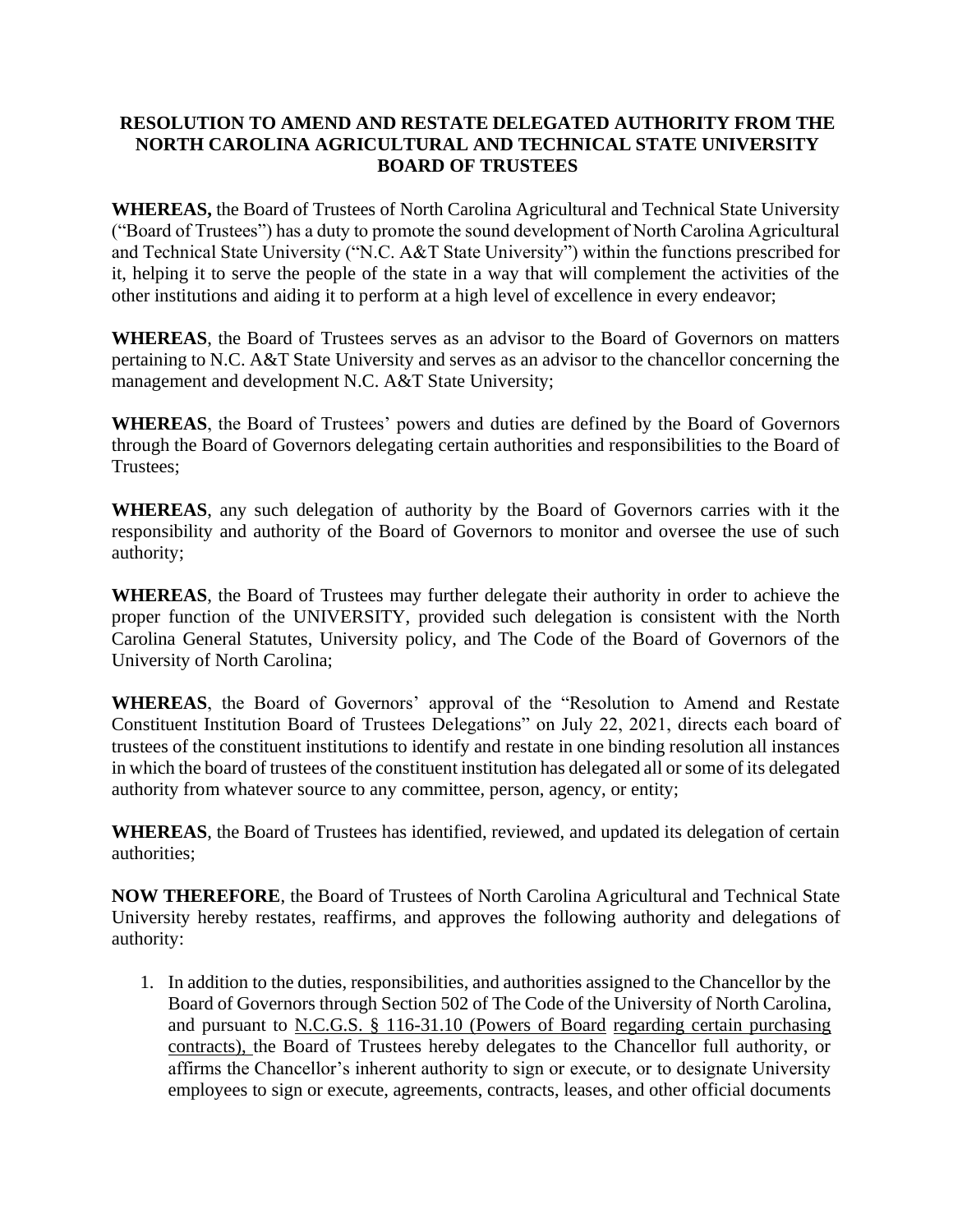## **RESOLUTION TO AMEND AND RESTATE DELEGATED AUTHORITY FROM THE NORTH CAROLINA AGRICULTURAL AND TECHNICAL STATE UNIVERSITY BOARD OF TRUSTEES**

**WHEREAS,** the Board of Trustees of North Carolina Agricultural and Technical State University ("Board of Trustees") has a duty to promote the sound development of North Carolina Agricultural and Technical State University ("N.C. A&T State University") within the functions prescribed for it, helping it to serve the people of the state in a way that will complement the activities of the other institutions and aiding it to perform at a high level of excellence in every endeavor;

**WHEREAS**, the Board of Trustees serves as an advisor to the Board of Governors on matters pertaining to N.C. A&T State University and serves as an advisor to the chancellor concerning the management and development N.C. A&T State University;

**WHEREAS**, the Board of Trustees' powers and duties are defined by the Board of Governors through the Board of Governors delegating certain authorities and responsibilities to the Board of Trustees;

**WHEREAS**, any such delegation of authority by the Board of Governors carries with it the responsibility and authority of the Board of Governors to monitor and oversee the use of such authority;

**WHEREAS**, the Board of Trustees may further delegate their authority in order to achieve the proper function of the UNIVERSITY, provided such delegation is consistent with the North Carolina General Statutes, University policy, and The Code of the Board of Governors of the University of North Carolina;

**WHEREAS**, the Board of Governors' approval of the "Resolution to Amend and Restate Constituent Institution Board of Trustees Delegations" on July 22, 2021, directs each board of trustees of the constituent institutions to identify and restate in one binding resolution all instances in which the board of trustees of the constituent institution has delegated all or some of its delegated authority from whatever source to any committee, person, agency, or entity;

**WHEREAS**, the Board of Trustees has identified, reviewed, and updated its delegation of certain authorities;

**NOW THEREFORE**, the Board of Trustees of North Carolina Agricultural and Technical State University hereby restates, reaffirms, and approves the following authority and delegations of authority:

1. In addition to the duties, responsibilities, and authorities assigned to the Chancellor by the Board of Governors through Section 502 of The Code of the University of North Carolina, and pursuant to [N.C.G.S. § 116-31.10 \(Powers of Board](https://ncleg.gov/EnactedLegislation/Statutes/HTML/BySection/Chapter_116/GS_116-31.10.html) [regarding certain purchasing](https://ncleg.gov/EnactedLegislation/Statutes/HTML/BySection/Chapter_116/GS_116-31.10.html)  [contracts\), t](https://ncleg.gov/EnactedLegislation/Statutes/HTML/BySection/Chapter_116/GS_116-31.10.html)he Board of Trustees hereby delegates to the Chancellor full authority, or affirms the Chancellor's inherent authority to sign or execute, or to designate University employees to sign or execute, agreements, contracts, leases, and other official documents